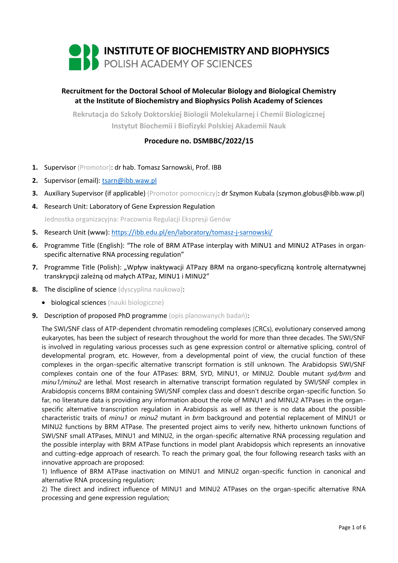

# **Recruitment for the Doctoral School of Molecular Biology and Biological Chemistry at the Institute of Biochemistry and Biophysics Polish Academy of Sciences**

**Rekrutacja do Szkoły Doktorskiej Biologii Molekularnej i Chemii Biologicznej Instytut Biochemii i Biofizyki Polskiej Akademii Nauk**

# **Procedure no. DSMBBC/2022/15**

- **1.** Supervisor (Promotor): dr hab. Tomasz Sarnowski, Prof. IBB
- **2.** Supervisor (email): [tsarn@ibb.waw.pl](mailto:tsarn@ibb.waw.pl)
- **3.** Auxiliary Supervisor (if applicable) (Promotor pomocniczy): dr Szymon Kubala (szymon.globus@ibb.waw.pl)
- **4.** Research Unit: Laboratory of Gene Expression Regulation

Jednostka organizacyjna: Pracownia Regulacji Ekspresji Genów

- **5.** Research Unit (www): <https://ibb.edu.pl/en/laboratory/tomasz-j-sarnowski/>
- **6.** Programme Title (English): "The role of BRM ATPase interplay with MINU1 and MINU2 ATPases in organspecific alternative RNA processing regulation"
- **7.** Programme Title (Polish): "Wpływ inaktywacji ATPazy BRM na organo-specyficzną kontrolę alternatywnej transkrypcji zależną od małych ATPaz, MINU1 i MINU2"
- **8.** The discipline of science (dyscyplina naukowa):
	- biological sciences (nauki biologiczne)
- **9.** Description of proposed PhD programme (opis planowanych badań):

The SWI/SNF class of ATP-dependent chromatin remodeling complexes (CRCs), evolutionary conserved among eukaryotes, has been the subject of research throughout the world for more than three decades. The SWI/SNF is involved in regulating various processes such as gene expression control or alternative splicing, control of developmental program, etc. However, from a developmental point of view, the crucial function of these complexes in the organ-specific alternative transcript formation is still unknown. The Arabidopsis SWI/SNF complexes contain one of the four ATPases: BRM, SYD, MINU1, or MINU2. Double mutant *syd/brm* and *minu1/minu2* are lethal. Most research in alternative transcript formation regulated by SWI/SNF complex in Arabidopsis concerns BRM containing SWI/SNF complex class and doesn't describe organ-specific function. So far, no literature data is providing any information about the role of MINU1 and MINU2 ATPases in the organspecific alternative transcription regulation in Arabidopsis as well as there is no data about the possible characteristic traits of *minu1* or *minu2* mutant in *brm* background and potential replacement of MINU1 or MINU2 functions by BRM ATPase. The presented project aims to verify new, hitherto unknown functions of SWI/SNF small ATPases, MINU1 and MINU2, in the organ-specific alternative RNA processing regulation and the possible interplay with BRM ATPase functions in model plant Arabidopsis which represents an innovative and cutting-edge approach of research. To reach the primary goal, the four following research tasks with an innovative approach are proposed:

1) Influence of BRM ATPase inactivation on MINU1 and MINU2 organ-specific function in canonical and alternative RNA processing regulation;

2) The direct and indirect influence of MINU1 and MINU2 ATPases on the organ-specific alternative RNA processing and gene expression regulation;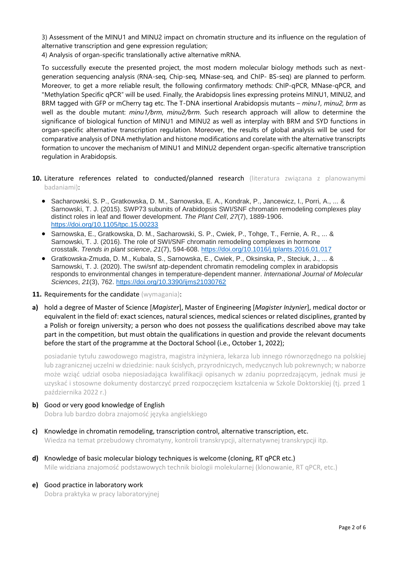3) Assessment of the MINU1 and MINU2 impact on chromatin structure and its influence on the regulation of alternative transcription and gene expression regulation;

4) Analysis of organ-specific translationally active alternative mRNA.

To successfully execute the presented project, the most modern molecular biology methods such as nextgeneration sequencing analysis (RNA-seq, Chip-seq, MNase-seq, and ChIP- BS-seq) are planned to perform. Moreover, to get a more reliable result, the following confirmatory methods: ChIP-qPCR, MNase-qPCR, and "Methylation Specific qPCR" will be used. Finally, the Arabidopsis lines expressing proteins MINU1, MINU2, and BRM tagged with GFP or mCherry tag etc. The T-DNA insertional Arabidopsis mutants – *minu1, minu2, brm* as well as the double mutant: *minu1/brm*, *minu2/brm*. Such research approach will allow to determine the significance of biological function of MINU1 and MINU2 as well as interplay with BRM and SYD functions in organ-specific alternative transcription regulation. Moreover, the results of global analysis will be used for comparative analysis of DNA methylation and histone modifications and corelate with the alternative transcripts formation to uncover the mechanism of MINU1 and MINU2 dependent organ-specific alternative transcription regulation in Arabidopsis.

- 10. Literature references related to conducted/planned research (literatura związana z planowanymi badaniami):
	- Sacharowski, S. P., Gratkowska, D. M., Sarnowska, E. A., Kondrak, P., Jancewicz, I., Porri, A., ... & Sarnowski, T. J. (2015). SWP73 subunits of Arabidopsis SWI/SNF chromatin remodeling complexes play distinct roles in leaf and flower development. *The Plant Cell*, *27*(7), 1889-1906. <https://doi.org/10.1105/tpc.15.00233>
	- Sarnowska, E., Gratkowska, D. M., Sacharowski, S. P., Cwiek, P., Tohge, T., Fernie, A. R., ... & Sarnowski, T. J. (2016). The role of SWI/SNF chromatin remodeling complexes in hormone crosstalk. *Trends in plant science*, *21*(7), 594-608. <https://doi.org/10.1016/j.tplants.2016.01.017>
	- Gratkowska-Zmuda, D. M., Kubala, S., Sarnowska, E., Cwiek, P., Oksinska, P., Steciuk, J., ... & Sarnowski, T. J. (2020). The swi/snf atp-dependent chromatin remodeling complex in arabidopsis responds to environmental changes in temperature-dependent manner. *International Journal of Molecular Sciences*, *21*(3), 762. <https://doi.org/10.3390/ijms21030762>
- 11. Requirements for the candidate (wymagania):
- **a)** hold a degree of Master of Science [*Magister*], Master of Engineering [*Magister Inżynier*], medical doctor or equivalent in the field of: exact sciences, natural sciences, medical sciences or related disciplines, granted by a Polish or foreign university; a person who does not possess the qualifications described above may take part in the competition, but must obtain the qualifications in question and provide the relevant documents before the start of the programme at the Doctoral School (i.e., October 1, 2022);

posiadanie tytułu zawodowego magistra, magistra inżyniera, lekarza lub innego równorzędnego na polskiej lub zagranicznej uczelni w dziedzinie: nauk ścisłych, przyrodniczych, medycznych lub pokrewnych; w naborze może wziąć udział osoba nieposiadająca kwalifikacji opisanych w zdaniu poprzedzającym, jednak musi je uzyskać i stosowne dokumenty dostarczyć przed rozpoczęciem kształcenia w Szkole Doktorskiej (tj. przed 1 października 2022 r.)

**b)** Good or very good knowledge of English

Dobra lub bardzo dobra znajomość języka angielskiego

- **c)** Knowledge in chromatin remodeling, transcription control, alternative transcription, etc. Wiedza na temat przebudowy chromatyny, kontroli transkrypcji, alternatywnej transkrypcji itp.
- **d)** Knowledge of basic molecular biology techniques is welcome (cloning, RT qPCR etc.) Mile widziana znajomość podstawowych technik biologii molekularnej (klonowanie, RT qPCR, etc.)
- **e)** Good practice in laboratory work Dobra praktyka w pracy laboratoryjnej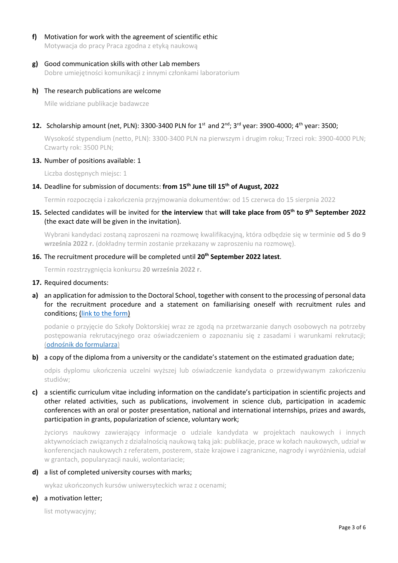# **f)** Motivation for work with the agreement of scientific ethic

Motywacja do pracy Praca zgodna z etyką naukową

### **g)** Good communication skills with other Lab members

Dobre umiejętności komunikacji z innymi członkami laboratorium

#### **h)** The research publications are welcome

Mile widziane publikacje badawcze

# **12.** Scholarship amount (net, PLN): 3300-3400 PLN for 1<sup>st</sup> and 2<sup>nd</sup>; 3<sup>rd</sup> year: 3900-4000; 4<sup>th</sup> year: 3500;

Wysokość stypendium (netto, PLN): 3300-3400 PLN na pierwszym i drugim roku; Trzeci rok: 3900-4000 PLN; Czwarty rok: 3500 PLN;

#### **13.** Number of positions available: 1

Liczba dostępnych miejsc: 1

## **14.** Deadline for submission of documents: **from 15th June till 15th of August, 2022**

Termin rozpoczęcia i zakończenia przyjmowania dokumentów: od 15 czerwca do 15 sierpnia 2022

### **15.** Selected candidates will be invited for **the interview** that **will take place from 05th to 9th September 2022** (the exact date will be given in the invitation).

Wybrani kandydaci zostaną zaproszeni na rozmowę kwalifikacyjną, która odbędzie się w terminie **od 5 do 9 września 2022 r.** (dokładny termin zostanie przekazany w zaproszeniu na rozmowę).

### **16.** The recruitment procedure will be completed until **20th September 2022 latest**.

Termin rozstrzygnięcia konkursu **20 września 2022 r.**

#### **17.** Required documents:

**a)** an application for admission to the Doctoral School, together with consent to the processing of personal data for the recruitment procedure and a statement on familiarising oneself with recruitment rules and conditions; [\(link to the form\)](https://ibb.edu.pl/app/uploads/2022/05/application-form_doctoralschool_ibb-pas.docx)

podanie o przyjęcie do Szkoły Doktorskiej wraz ze zgodą na przetwarzanie danych osobowych na potrzeby postępowania rekrutacyjnego oraz oświadczeniem o zapoznaniu się z zasadami i warunkami rekrutacji; ([odnośnik do formularza](https://ibb.edu.pl/app/uploads/2022/05/application-form_doctoralschool_ibb-pas.docx))

#### **b)** a copy of the diploma from a university or the candidate's statement on the estimated graduation date;

odpis dyplomu ukończenia uczelni wyższej lub oświadczenie kandydata o przewidywanym zakończeniu studiów;

**c)** a scientific curriculum vitae including information on the candidate's participation in scientific projects and other related activities, such as publications, involvement in science club, participation in academic conferences with an oral or poster presentation, national and international internships, prizes and awards, participation in grants, popularization of science, voluntary work;

życiorys naukowy zawierający informacje o udziale kandydata w projektach naukowych i innych aktywnościach związanych z działalnością naukową taką jak: publikacje, prace w kołach naukowych, udział w konferencjach naukowych z referatem, posterem, staże krajowe i zagraniczne, nagrody i wyróżnienia, udział w grantach, popularyzacji nauki, wolontariacie;

#### **d)** a list of completed university courses with marks;

wykaz ukończonych kursów uniwersyteckich wraz z ocenami;

#### **e)** a motivation letter;

list motywacyjny;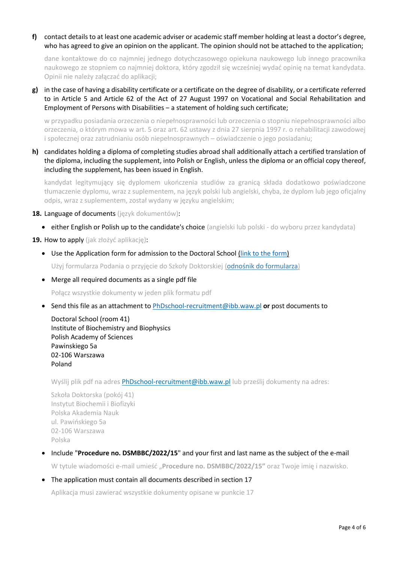## **f)** contact details to at least one academic adviser or academic staff member holding at least a doctor's degree, who has agreed to give an opinion on the applicant. The opinion should not be attached to the application;

dane kontaktowe do co najmniej jednego dotychczasowego opiekuna naukowego lub innego pracownika naukowego ze stopniem co najmniej doktora, który zgodził się wcześniej wydać opinię na temat kandydata. Opinii nie należy załączać do aplikacji;

**g)** in the case of having a disability certificate or a certificate on the degree of disability, or a certificate referred to in Article 5 and Article 62 of the Act of 27 August 1997 on Vocational and Social Rehabilitation and Employment of Persons with Disabilities - a statement of holding such certificate;

w przypadku posiadania orzeczenia o niepełnosprawności lub orzeczenia o stopniu niepełnosprawności albo orzeczenia, o którym mowa w art. 5 oraz art. 62 ustawy z dnia 27 sierpnia 1997 r. o rehabilitacji zawodowej i społecznej oraz zatrudnianiu osób niepełnosprawnych – oświadczenie o jego posiadaniu;

**h)** candidates holding a diploma of completing studies abroad shall additionally attach a certified translation of the diploma, including the supplement, into Polish or English, unless the diploma or an official copy thereof, including the supplement, has been issued in English.

kandydat legitymujący się dyplomem ukończenia studiów za granicą składa dodatkowo poświadczone tłumaczenie dyplomu, wraz z suplementem, na język polski lub angielski, chyba, że dyplom lub jego oficjalny odpis, wraz z suplementem, został wydany w języku angielskim;

#### **18.** Language of documents (język dokumentów):

• either English or Polish up to the candidate's choice (angielski lub polski - do wyboru przez kandydata)

#### **19.** How to apply (jak złożyć aplikację):

• Use the Application form for admission to the Doctoral School [\(link to the form\)](https://ibb.edu.pl/app/uploads/2022/05/application-form_doctoralschool_ibb-pas.docx)

Użyj formularza Podania o przyjęcie do Szkoły Doktorskiej ([odnośnik do formularza](https://ibb.edu.pl/app/uploads/2022/05/application-form_doctoralschool_ibb-pas.docx))

• Merge all required documents as a single pdf file

Połącz wszystkie dokumenty w jeden plik formatu pdf

• Send this file as an attachment t[o PhDschool-recruitment@ibb.waw.pl](mailto:PhDschool-recruitment@ibb.waw.pl) **or** post documents to

Doctoral School (room 41) Institute of Biochemistry and Biophysics Polish Academy of Sciences Pawinskiego 5a 02-106 Warszawa Poland

Wyślij plik pdf na adres **[PhDschool-recruitment@ibb.waw.pl](mailto:PhDschool-recruitment@ibb.waw.pl)** lub prześlij dokumenty na adres:

Szkoła Doktorska (pokój 41) Instytut Biochemii i Biofizyki Polska Akademia Nauk ul. Pawińskiego 5a 02-106 Warszawa Polska

# • Include "**Procedure no. DSMBBC/2022/15**" and your first and last name as the subject of the e-mail

W tytule wiadomości e-mail umieść "**Procedure no. DSMBBC/2022/15"** oraz Twoje imię i nazwisko.

• The application must contain all documents described in section 17

Aplikacja musi zawierać wszystkie dokumenty opisane w punkcie 17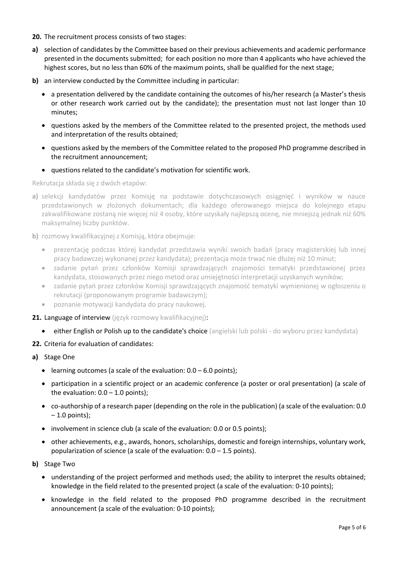- **20.** The recruitment process consists of two stages:
- **a)** selection of candidates by the Committee based on their previous achievements and academic performance presented in the documents submitted; for each position no more than 4 applicants who have achieved the highest scores, but no less than 60% of the maximum points, shall be qualified for the next stage;
- **b)** an interview conducted by the Committee including in particular:
	- a presentation delivered by the candidate containing the outcomes of his/her research (a Master's thesis or other research work carried out by the candidate); the presentation must not last longer than 10 minutes;
	- questions asked by the members of the Committee related to the presented project, the methods used and interpretation of the results obtained;
	- questions asked by the members of the Committee related to the proposed PhD programme described in the recruitment announcement;
	- questions related to the candidate's motivation for scientific work.

Rekrutacja składa się z dwóch etapów:

- **a)** selekcji kandydatów przez Komisję na podstawie dotychczasowych osiągnięć i wyników w nauce przedstawionych w złożonych dokumentach; dla każdego oferowanego miejsca do kolejnego etapu zakwalifikowane zostaną nie więcej niż 4 osoby, które uzyskały najlepszą ocenę, nie mniejszą jednak niż 60% maksymalnej liczby punktów.
- **b)** rozmowy kwalifikacyjnej z Komisją, która obejmuje:
	- prezentację podczas której kandydat przedstawia wyniki swoich badań (pracy magisterskiej lub innej pracy badawczej wykonanej przez kandydata); prezentacja może trwać nie dłużej niż 10 minut;
	- zadanie pytań przez członków Komisji sprawdzających znajomości tematyki przedstawionej przez kandydata, stosowanych przez niego metod oraz umiejętności interpretacji uzyskanych wyników;
	- zadanie pytań przez członków Komisji sprawdzających znajomość tematyki wymienionej w ogłoszeniu o rekrutacji (proponowanym programie badawczym);
	- poznanie motywacji kandydata do pracy naukowej.
- 21. Language of interview (język rozmowy kwalifikacyjnej):
	- either English or Polish up to the candidate's choice (angielski lub polski do wyboru przez kandydata)
- **22.** Criteria for evaluation of candidates:
- **a)** Stage One
	- learning outcomes (a scale of the evaluation:  $0.0 6.0$  points);
	- participation in a scientific project or an academic conference (a poster or oral presentation) (a scale of the evaluation:  $0.0 - 1.0$  points);
	- co-authorship of a research paper (depending on the role in the publication) (a scale of the evaluation: 0.0  $-1.0$  points);
	- involvement in science club (a scale of the evaluation: 0.0 or 0.5 points);
	- other achievements, e.g., awards, honors, scholarships, domestic and foreign internships, voluntary work, popularization of science (a scale of the evaluation:  $0.0 - 1.5$  points).
- **b)** Stage Two
	- understanding of the project performed and methods used; the ability to interpret the results obtained; knowledge in the field related to the presented project (a scale of the evaluation: 0-10 points);
	- knowledge in the field related to the proposed PhD programme described in the recruitment announcement (a scale of the evaluation: 0-10 points);